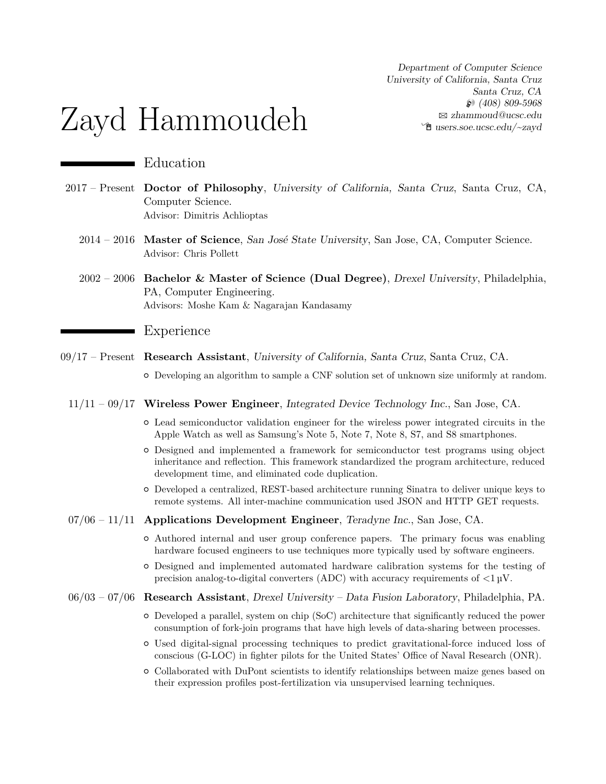Department of Computer Science University of California, Santa Cruz Santa Cruz, CA H (408) 809-5968 B [zhammoud@ucsc.edu](mailto:zhammoud@ucsc.edu) Í [users.soe.ucsc.edu/~zayd](http://users.soe.ucsc.edu/~zayd)

# Zayd Hammoudeh

# Education

- 2017 Present **Doctor of Philosophy**, University of California, Santa Cruz, Santa Cruz, CA, Computer Science. Advisor: [Dimitris Achlioptas](https://users.soe.ucsc.edu/~optas/)
	- 2014 2016 **Master of Science**, San José State University, San Jose, CA, Computer Science. Advisor: [Chris Pollett](http://www.cs.sjsu.edu/faculty/pollett/)
	- 2002 2006 **Bachelor & Master of Science (Dual Degree)**, Drexel University, Philadelphia, PA, Computer Engineering. Advisors: [Moshe Kam](http://moshekam.org/) & [Nagarajan Kandasamy](http://www.ece.drexel.edu/kandasamy/)

#### Experience

- 09/17 Present **Research Assistant**, University of California, Santa Cruz, Santa Cruz, CA.
	- { Developing an algorithm to sample a CNF solution set of unknown size uniformly at random.
	- 11/11 09/17 **Wireless Power Engineer**, Integrated Device Technology Inc., San Jose, CA.
		- { Lead semiconductor validation engineer for the wireless power integrated circuits in the Apple Watch as well as Samsung's Note 5, Note 7, Note 8, S7, and S8 smartphones.
		- { Designed and implemented a framework for semiconductor test programs using object inheritance and reflection. This framework standardized the program architecture, reduced development time, and eliminated code duplication.
		- { Developed a centralized, REST-based architecture running Sinatra to deliver unique keys to remote systems. All inter-machine communication used JSON and HTTP GET requests.
	- 07/06 11/11 **Applications Development Engineer**, Teradyne Inc., San Jose, CA.
		- { Authored internal and user group conference papers. The primary focus was enabling hardware focused engineers to use techniques more typically used by software engineers.
		- { Designed and implemented automated hardware calibration systems for the testing of precision analog-to-digital converters (ADC) with accuracy requirements of  $\langle 1 \mu V$ .
	- 06/03 07/06 **Research Assistant**, Drexel University Data Fusion Laboratory, Philadelphia, PA.
		- { Developed a parallel, system on chip (SoC) architecture that significantly reduced the power consumption of fork-join programs that have high levels of data-sharing between processes.
		- { Used digital-signal processing techniques to predict gravitational-force induced loss of conscious (G-LOC) in fighter pilots for the United States' Office of Naval Research (ONR).
		- { Collaborated with DuPont scientists to identify relationships between maize genes based on their expression profiles post-fertilization via unsupervised learning techniques.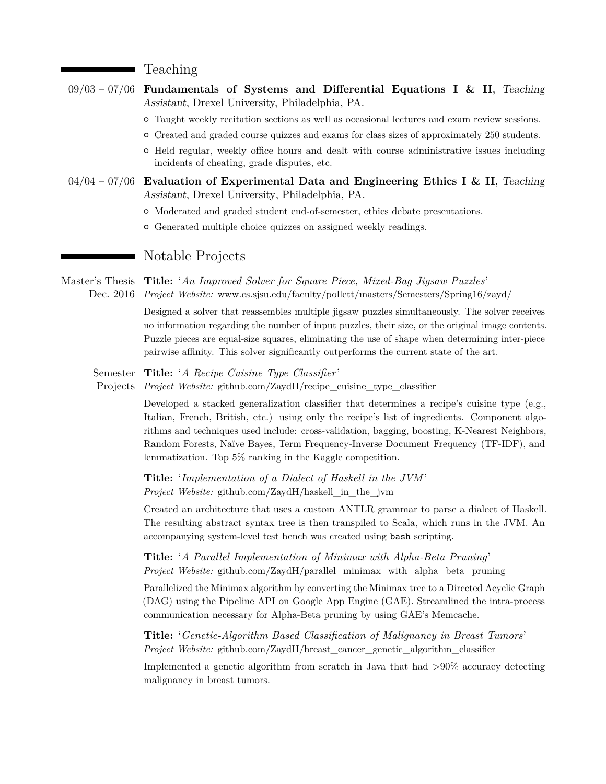#### Teaching

| $09/03 - 07/06$ Fundamentals of Systems and Differential Equations I & II, Teaching          |
|----------------------------------------------------------------------------------------------|
| Assistant, Drexel University, Philadelphia, PA.                                              |
| o Taught weekly recitation sections as well as occasional lectures and exam review sessions. |
| o Created and graded course quizzes and exams for class sizes of approximately 250 students. |

- { Held regular, weekly office hours and dealt with course administrative issues including incidents of cheating, grade disputes, etc.
- 04/04 07/06 **Evaluation of Experimental Data and Engineering Ethics I & II**, Teaching Assistant, Drexel University, Philadelphia, PA.
	- { Moderated and graded student end-of-semester, ethics debate presentations.
	- $\circ$  Generated multiple choice quizzes on assigned weekly readings.

## Notable Projects

Master's Thesis **Title:** '*An Improved Solver for Square Piece, Mixed-Bag Jigsaw Puzzles*' Dec. 2016 *Project Website:* [www.cs.sjsu.edu/faculty/pollett/masters/Semesters/Spring16/zayd/](http://www.cs.sjsu.edu/faculty/pollett/masters/Semesters/Spring16/zayd/)

> Designed a solver that reassembles multiple jigsaw puzzles simultaneously. The solver receives no information regarding the number of input puzzles, their size, or the original image contents. Puzzle pieces are equal-size squares, eliminating the use of shape when determining inter-piece pairwise affinity. This solver significantly outperforms the current state of the art.

- Semester **Title:** '*A Recipe Cuisine Type Classifier* '
- Projects *Project Website:* [github.com/ZaydH/recipe\\_cuisine\\_type\\_classifier](http://github.com/ZaydH/recipe_cuisine_type_classifier)

Developed a stacked generalization classifier that determines a recipe's cuisine type (e.g., Italian, French, British, etc.) using only the recipe's list of ingredients. Component algorithms and techniques used include: cross-validation, bagging, boosting, K-Nearest Neighbors, Random Forests, Naïve Bayes, Term Frequency-Inverse Document Frequency (TF-IDF), and lemmatization. Top 5% ranking in the Kaggle competition.

**Title:** '*Implementation of a Dialect of Haskell in the JVM*' *Project Website:* [github.com/ZaydH/haskell\\_in\\_the\\_jvm](http://github.com/ZaydH/haskell_in_the_jvm)

Created an architecture that uses a custom ANTLR grammar to parse a dialect of Haskell. The resulting abstract syntax tree is then transpiled to Scala, which runs in the JVM. An accompanying system-level test bench was created using bash scripting.

**Title:** '*A Parallel Implementation of Minimax with Alpha-Beta Pruning*' *Project Website:* [github.com/ZaydH/parallel\\_minimax\\_with\\_alpha\\_beta\\_pruning](http://github.com/ZaydH/parallel_minimax_with_alpha_beta_pruning)

Parallelized the Minimax algorithm by converting the Minimax tree to a Directed Acyclic Graph (DAG) using the Pipeline API on Google App Engine (GAE). Streamlined the intra-process communication necessary for Alpha-Beta pruning by using GAE's Memcache.

**Title:** '*Genetic-Algorithm Based Classification of Malignancy in Breast Tumors*' *Project Website:* [github.com/ZaydH/breast\\_cancer\\_genetic\\_algorithm\\_classifier](http://github.com/ZaydH/breast_cancer_genetic_algorithm_classifier)

Implemented a genetic algorithm from scratch in Java that had >90% accuracy detecting malignancy in breast tumors.